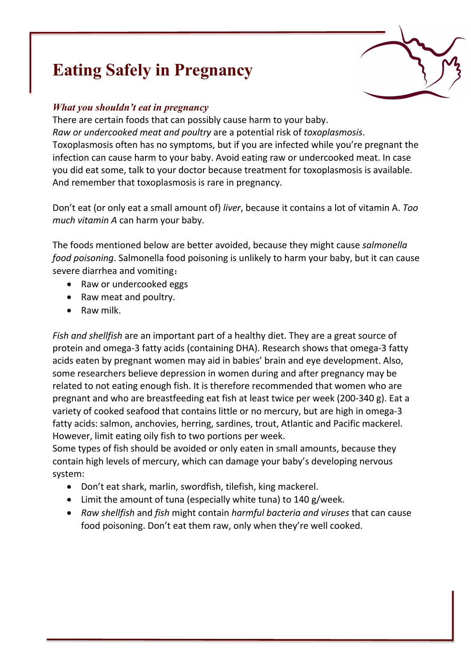# **Eating Safely in Pregnancy**

# *What you shouldn't eat in pregnancy*

There are certain foods that can possibly cause harm to your baby. *Raw or undercooked meat and poultry* are a potential risk of *toxoplasmosis*. Toxoplasmosis often has no symptoms, but if you are infected while you're pregnant the infection can cause harm to your baby. Avoid eating raw or undercooked meat. In case you did eat some, talk to your doctor because treatment for toxoplasmosis is available. And remember that toxoplasmosis is rare in pregnancy.

Don't eat (or only eat a small amount of) *liver*, because it contains a lot of vitamin A. *Too much vitamin A* can harm your baby.

The foods mentioned below are better avoided, because they might cause *salmonella food poisoning*. Salmonella food poisoning is unlikely to harm your baby, but it can cause severe diarrhea and vomiting:

- Raw or undercooked eggs
- Raw meat and poultry.
- Raw milk.

*Fish and shellfish* are an important part of a healthy diet. They are a great source of protein and omega-3 fatty acids (containing DHA). Research shows that omega-3 fatty acids eaten by pregnant women may aid in babies' brain and eye development. Also, some researchers believe depression in women during and after pregnancy may be related to not eating enough fish. It is therefore recommended that women who are pregnant and who are breastfeeding eat fish at least twice per week (200-340 g). Eat a variety of cooked seafood that contains little or no mercury, but are high in omega-3 fatty acids: salmon, anchovies, herring, sardines, trout, Atlantic and Pacific mackerel. However, limit eating oily fish to two portions per week.

Some types of fish should be avoided or only eaten in small amounts, because they contain high levels of mercury, which can damage your baby's developing nervous system:

- Don't eat shark, marlin, swordfish, tilefish, king mackerel.
- Limit the amount of tuna (especially white tuna) to 140 g/week.
- *Raw shellfish* and *fish* might contain *harmful bacteria and viruses* that can cause food poisoning. Don't eat them raw, only when they're well cooked.